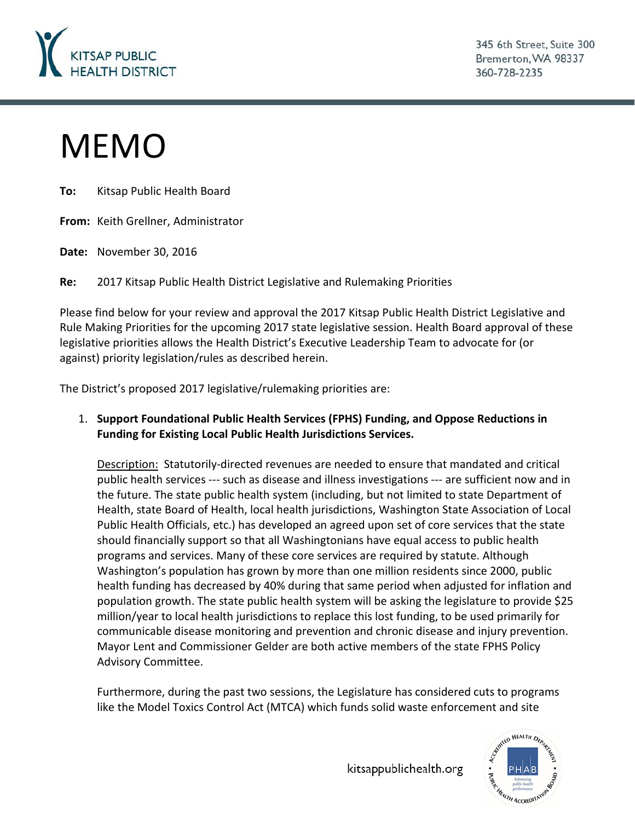

345 6th Street, Suite 300 Bremerton, WA 98337 360-728-2235

# MEMO

**To:** Kitsap Public Health Board

**From:** Keith Grellner, Administrator

**Date:** November 30, 2016

**Re:** 2017 Kitsap Public Health District Legislative and Rulemaking Priorities

Please find below for your review and approval the 2017 Kitsap Public Health District Legislative and Rule Making Priorities for the upcoming 2017 state legislative session. Health Board approval of these legislative priorities allows the Health District's Executive Leadership Team to advocate for (or against) priority legislation/rules as described herein.

The District's proposed 2017 legislative/rulemaking priorities are:

1. **Support Foundational Public Health Services (FPHS) Funding, and Oppose Reductions in Funding for Existing Local Public Health Jurisdictions Services.**

Description: Statutorily-directed revenues are needed to ensure that mandated and critical public health services --- such as disease and illness investigations --- are sufficient now and in the future. The state public health system (including, but not limited to state Department of Health, state Board of Health, local health jurisdictions, Washington State Association of Local Public Health Officials, etc.) has developed an agreed upon set of core services that the state should financially support so that all Washingtonians have equal access to public health programs and services. Many of these core services are required by statute. Although Washington's population has grown by more than one million residents since 2000, public health funding has decreased by 40% during that same period when adjusted for inflation and population growth. The state public health system will be asking the legislature to provide \$25 million/year to local health jurisdictions to replace this lost funding, to be used primarily for communicable disease monitoring and prevention and chronic disease and injury prevention. Mayor Lent and Commissioner Gelder are both active members of the state FPHS Policy Advisory Committee.

Furthermore, during the past two sessions, the Legislature has considered cuts to programs like the Model Toxics Control Act (MTCA) which funds solid waste enforcement and site

kitsappublichealth.org

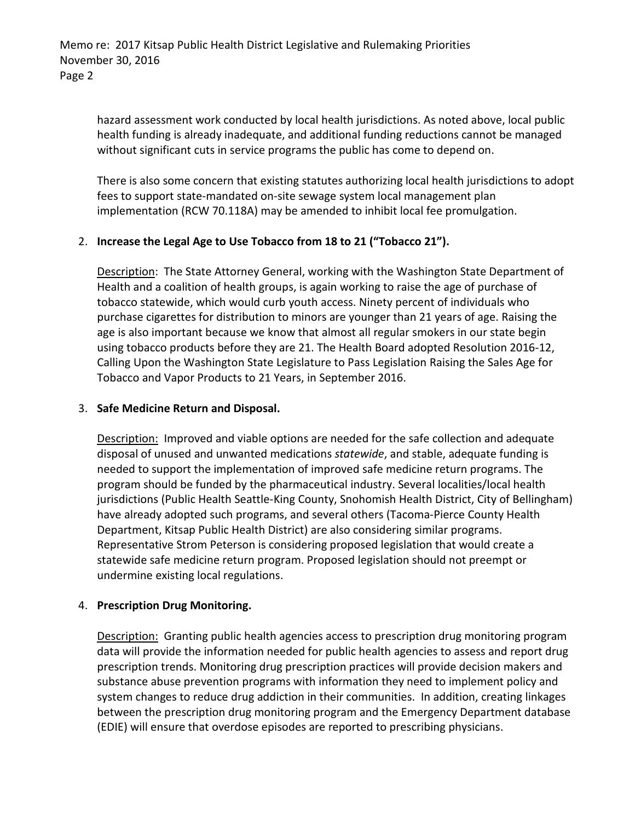Memo re: 2017 Kitsap Public Health District Legislative and Rulemaking Priorities November 30, 2016 Page 2

hazard assessment work conducted by local health jurisdictions. As noted above, local public health funding is already inadequate, and additional funding reductions cannot be managed without significant cuts in service programs the public has come to depend on.

There is also some concern that existing statutes authorizing local health jurisdictions to adopt fees to support state-mandated on-site sewage system local management plan implementation (RCW 70.118A) may be amended to inhibit local fee promulgation.

## 2. **Increase the Legal Age to Use Tobacco from 18 to 21 ("Tobacco 21").**

Description: The State Attorney General, working with the Washington State Department of Health and a coalition of health groups, is again working to raise the age of purchase of tobacco statewide, which would curb youth access. Ninety percent of individuals who purchase cigarettes for distribution to minors are younger than 21 years of age. Raising the age is also important because we know that almost all regular smokers in our state begin using tobacco products before they are 21. The Health Board adopted Resolution 2016-12, Calling Upon the Washington State Legislature to Pass Legislation Raising the Sales Age for Tobacco and Vapor Products to 21 Years, in September 2016.

## 3. **Safe Medicine Return and Disposal.**

Description: Improved and viable options are needed for the safe collection and adequate disposal of unused and unwanted medications *statewide*, and stable, adequate funding is needed to support the implementation of improved safe medicine return programs. The program should be funded by the pharmaceutical industry. Several localities/local health jurisdictions (Public Health Seattle-King County, Snohomish Health District, City of Bellingham) have already adopted such programs, and several others (Tacoma-Pierce County Health Department, Kitsap Public Health District) are also considering similar programs. Representative Strom Peterson is considering proposed legislation that would create a statewide safe medicine return program. Proposed legislation should not preempt or undermine existing local regulations.

## 4. **Prescription Drug Monitoring.**

Description: Granting public health agencies access to prescription drug monitoring program data will provide the information needed for public health agencies to assess and report drug prescription trends. Monitoring drug prescription practices will provide decision makers and substance abuse prevention programs with information they need to implement policy and system changes to reduce drug addiction in their communities. In addition, creating linkages between the prescription drug monitoring program and the Emergency Department database (EDIE) will ensure that overdose episodes are reported to prescribing physicians.